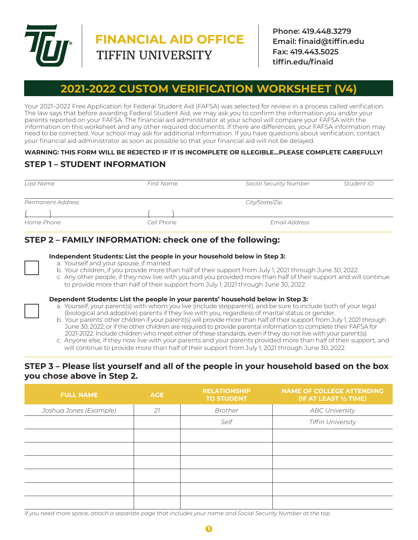

# **FINANCIAL AID OFFICE**

**Phone: 419.448.3279 Email: finaid@tiffin.edu Fax: 419.443.5025 tiffin.edu/finaid**

# **2021-2022 CUSTOM VERIFICATION WORKSHEET**

Your 2021–2022 Free Application for Federal Student Aid (FAFSA) was selected for review in a process called verification. The law says that before awarding Federal Student Aid, we may ask you to confirm the information you and/or your parents reported on your FAFSA. The financial aid administrator at your school will compare your FAFSA with the information on this worksheet and any other required documents. If there are differences, your FAFSA information may need to be corrected. Your school may ask for additional information. If you have questions about verification, contact your financial aid administrator as soon as possible so that your financial aid will not be delayed.

## **WARNING: THIS FORM WILL BE REJECTED IF IT IS INCOMPLETE OR ILLEGIBLE…PLEASE COMPLETE CAREFULLY!**

# **STEP 1 – STUDENT INFORMATION**

| Last Name         | First Name | <b>Social Security Number</b> | Student ID |
|-------------------|------------|-------------------------------|------------|
|                   |            |                               |            |
| Permanent Address |            | City/State/Zip                |            |
|                   |            |                               |            |
| Home Phone        | Cell Phone | <b>Email Address</b>          |            |

# **STEP 2 – FAMILY INFORMATION: check one of the following:**

#### **Independent Students: List the people in your household below in Step 3:**

- a. Yourself and your spouse, if married.
- b. Your children, if you provide more than half of their support from July 1, 2021 through June 30, 2022.
- c. Any other people, if they now live with you and you provided more than half of their support and will continue to provide more than half of their support from July 1, 2021 through June 30, 2022.

#### **Dependent Students: List the people in your parents' household below in Step 3:**

- a. Yourself, your parent(s) with whom you live (include stepparent), and be sure to include both of your legal (biological and adoptive) parents if they live with you, regardless of marital status or gender.
- b. Your parents' other children if your parent(s) will provide more than half of their support from July 1, 2021 through June 30, 2022, or if the other children are required to provide parental information to complete their FAFSA for 2021-2022. Include children who meet either of these standards, even if they do not live with your parent(s).
- c. Anyone else, if they now live with your parents and your parents provided more than half of their support, and will continue to provide more than half of their support from July 1, 2021 through June 30, 2022.

# **STEP 3 – Please list yourself and all of the people in your household based on the box you chose above in Step 2.**

| <b>FULL NAME</b>       | <b>AGE</b> | <b>RELATIONSHIP</b><br><b>TO STUDENT</b> | <b>NAME OF COLLEGE ATTENDING</b><br>(IF AT LEAST 1/2 TIME) |
|------------------------|------------|------------------------------------------|------------------------------------------------------------|
| Joshua Jones (Example) | 21         | Brother                                  | <b>ABC University</b>                                      |
|                        |            | Self                                     | <b>Tiffin University</b>                                   |
|                        |            |                                          |                                                            |
|                        |            |                                          |                                                            |
|                        |            |                                          |                                                            |
|                        |            |                                          |                                                            |
|                        |            |                                          |                                                            |
|                        |            |                                          |                                                            |

If you need more space, attach a separate page that includes your name and Social Security Number at the top.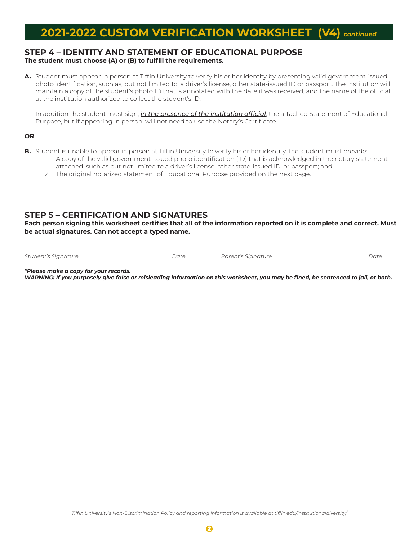# **2021-2022 CUSTOM VERIFICATION WORKSHEET (V4)** *continued*

#### **STEP 4 – IDENTITY AND STATEMENT OF EDUCATIONAL PURPOSE The student must choose (A) or (B) to fulfill the requirements.**

A. Student must appear in person at Tiffin University to verify his or her identity by presenting valid government-issued photo identification, such as, but not limited to, a driver's license, other state-issued ID or passport. The institution will maintain a copy of the student's photo ID that is annotated with the date it was received, and the name of the official at the institution authorized to collect the student's ID.

In addition the student must sign, *in the presence of the institution official*, the attached Statement of Educational Purpose, but if appearing in person, will not need to use the Notary's Certificate.

#### **OR**

 $\overline{a}$ 

- **B.** Student is unable to appear in person at Tiffin University to verify his or her identity, the student must provide:
	- 1. A copy of the valid government-issued photo identification (ID) that is acknowledged in the notary statement attached, such as but not limited to a driver's license, other state-issued ID, or passport; and
	- 2. The original notarized statement of Educational Purpose provided on the next page.

# **STEP 5 – CERTIFICATION AND SIGNATURES**

**Each person signing this worksheet certifies that all of the information reported on it is complete and correct. Must be actual signatures. Can not accept a typed name.**

*Student's Signature Date Parent's Signature Date* 

*\*Please make a copy for your records.* 

*WARNING: If you purposely give false or misleading information on this worksheet, you may be fined, be sentenced to jail, or both.*